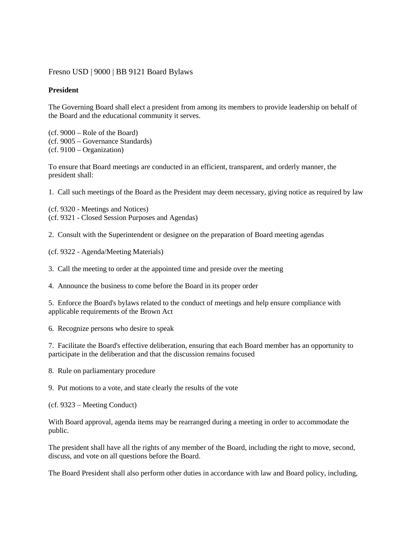## [Fresno USD](http://www.fresnounified.org/board/policies/Policies/fusd/loaddistrictpolicy/1050.htm) | [9000](http://www.fresnounified.org/board/policies/Policies/fusd/policycategorylist/1050/9.htm) | BB 9121 Board Bylaws

## **President**

The Governing Board shall elect a president from among its members to provide leadership on behalf of the Board and the educational community it serves.

(cf. 9000 – Role of the Board) (cf. 9005 – Governance Standards) (cf. 9100 – Organization)

To ensure that Board meetings are conducted in an efficient, transparent, and orderly manner, the president shall:

1. Call such meetings of the Board as the President may deem necessary, giving notice as required by law

(cf. 9320 - Meetings and Notices) (cf. 9321 - Closed Session Purposes and Agendas)

2. Consult with the Superintendent or designee on the preparation of Board meeting agendas

(cf. 9322 - Agenda/Meeting Materials)

3. Call the meeting to order at the appointed time and preside over the meeting

4. Announce the business to come before the Board in its proper order

5. Enforce the Board's bylaws related to the conduct of meetings and help ensure compliance with applicable requirements of the Brown Act

6. Recognize persons who desire to speak

7. Facilitate the Board's effective deliberation, ensuring that each Board member has an opportunity to participate in the deliberation and that the discussion remains focused

8. Rule on parliamentary procedure

9. Put motions to a vote, and state clearly the results of the vote

(cf. 9323 – Meeting Conduct)

With Board approval, agenda items may be rearranged during a meeting in order to accommodate the public.

The president shall have all the rights of any member of the Board, including the right to move, second, discuss, and vote on all questions before the Board.

The Board President shall also perform other duties in accordance with law and Board policy, including,